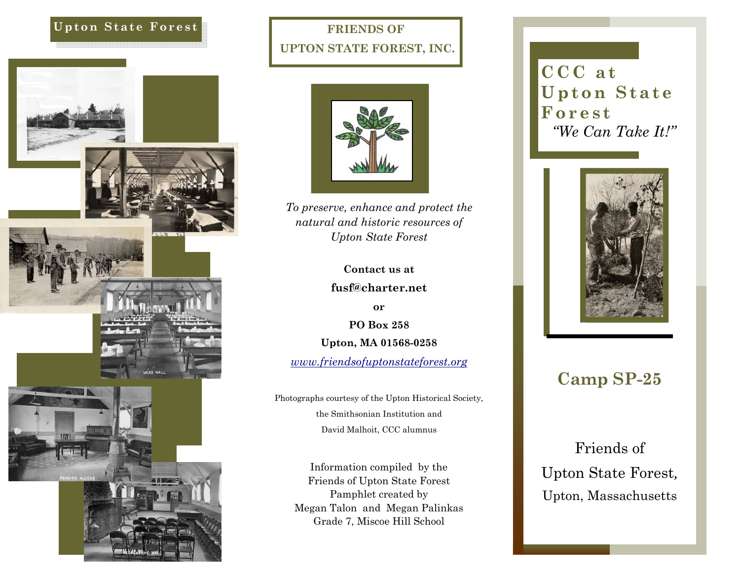#### **Upton State Forest**



## **FRIENDS OF UPTON STATE FOREST, INC.**



*To preserve, enhance and protect the natural and historic resources of Upton State Forest* 

**Contact us at** 

**fusf@charter.net** 

**or** 

**PO Box 258** 

**Upton, MA 01568-0258** 

*www.friendsofuptonstateforest.org*

Photographs courtesy of the Upton Historical Society, the Smithsonian Institution and David Malhoit, CCC alumnus

Information compiled by the Friends of Upton State Forest Pamphlet created by Megan Talon and Megan Palinkas Grade 7, Miscoe Hill School

**CCC at Upton State Forest** *"We Can Take It!"* 



# **Camp SP-25**

Friends of Upton State Forest*,*  Upton, Massachusetts